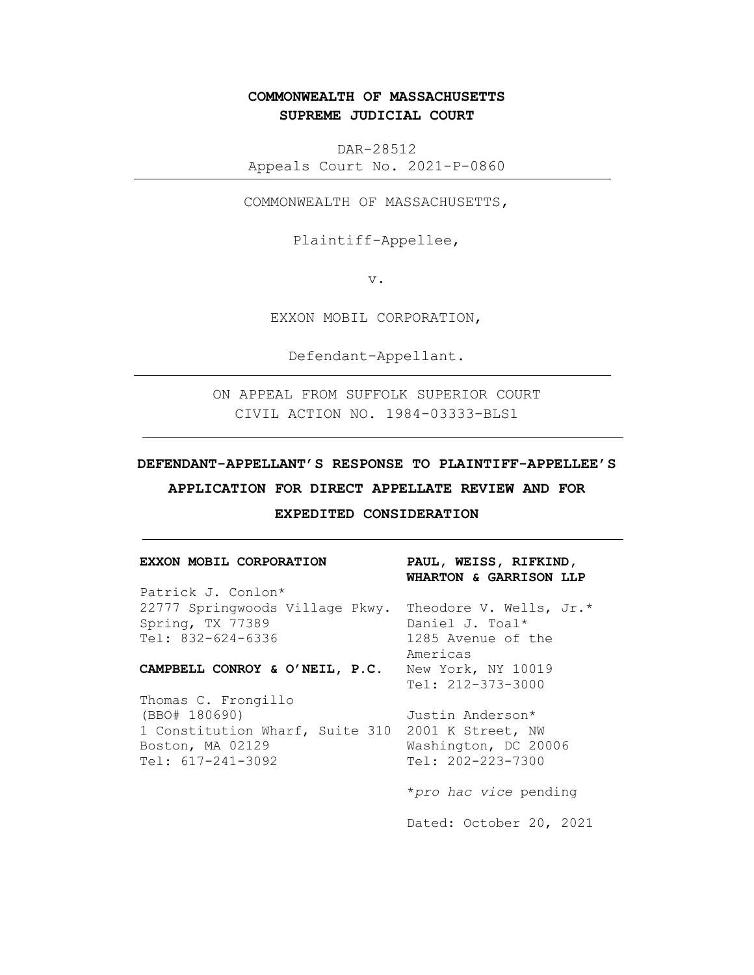# **COMMONWEALTH OF MASSACHUSETTS SUPREME JUDICIAL COURT**

DAR-28512 Appeals Court No. 2021-P-0860

COMMONWEALTH OF MASSACHUSETTS,

Plaintiff-Appellee,

v.

EXXON MOBIL CORPORATION,

Defendant-Appellant.

ON APPEAL FROM SUFFOLK SUPERIOR COURT CIVIL ACTION NO. 1984-03333-BLS1

### **DEFENDANT-APPELLANT'S RESPONSE TO PLAINTIFF-APPELLEE'S**

**APPLICATION FOR DIRECT APPELLATE REVIEW AND FOR** 

**EXPEDITED CONSIDERATION**

| EXXON MOBIL CORPORATION                                 | PAUL, WEISS, RIFKIND,<br>WHARTON & GARRISON LLP |  |  |
|---------------------------------------------------------|-------------------------------------------------|--|--|
| Patrick J. Conlon*                                      |                                                 |  |  |
| 22777 Springwoods Village Pkwy. Theodore V. Wells, Jr.* |                                                 |  |  |
| Spring, TX 77389                                        | Daniel J. Toal*                                 |  |  |
| Tel: 832-624-6336                                       | 1285 Avenue of the                              |  |  |
|                                                         | Americas                                        |  |  |
| CAMPBELL CONROY & O'NEIL, P.C. New York, NY 10019       |                                                 |  |  |
|                                                         | $Tel: 212-373-3000$                             |  |  |
| Thomas C. Frongillo                                     |                                                 |  |  |
| (BBO# 180690)                                           | Justin Anderson*                                |  |  |
| 1 Constitution Wharf, Suite 310 2001 K Street, NW       |                                                 |  |  |
| Boston, MA 02129                                        | Washington, DC 20006                            |  |  |
| $Tel: 617-241-3092$                                     | Tel: 202-223-7300                               |  |  |
|                                                         | *pro hac vice pending                           |  |  |

Dated: October 20, 2021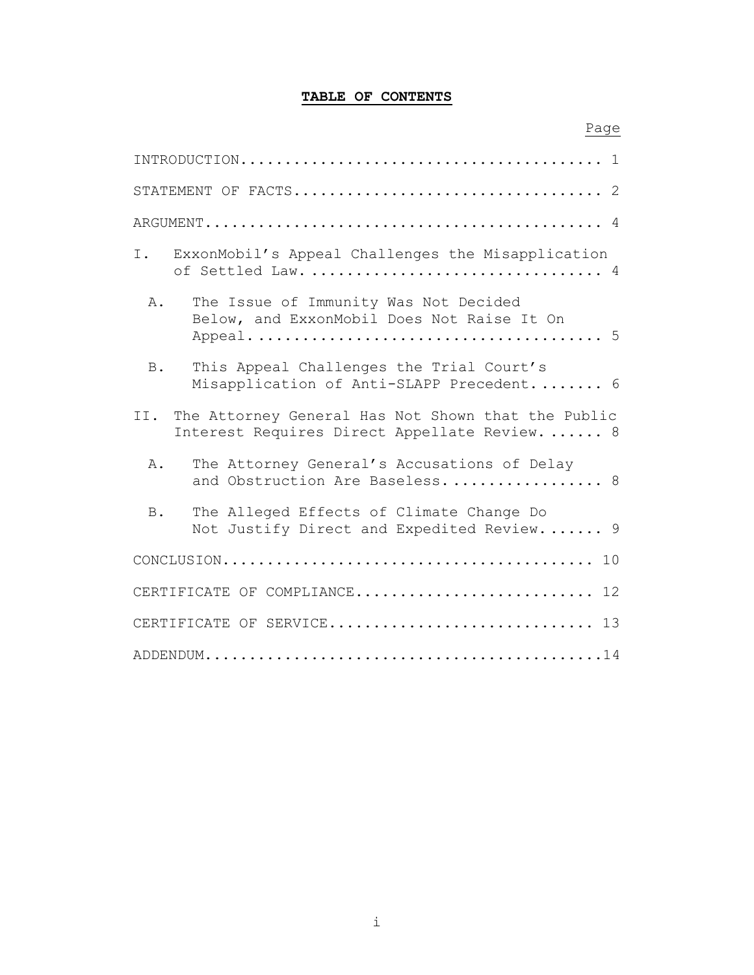## **TABLE OF CONTENTS**

## Page

| I.<br>ExxonMobil's Appeal Challenges the Misapplication                                                    |
|------------------------------------------------------------------------------------------------------------|
| The Issue of Immunity Was Not Decided<br>$A$ .<br>Below, and ExxonMobil Does Not Raise It On               |
| This Appeal Challenges the Trial Court's<br><b>B</b> .<br>Misapplication of Anti-SLAPP Precedent 6         |
| II.<br>The Attorney General Has Not Shown that the Public<br>Interest Requires Direct Appellate Review.  8 |
| The Attorney General's Accusations of Delay<br>Α.<br>and Obstruction Are Baseless 8                        |
| The Alleged Effects of Climate Change Do<br><b>B</b> .<br>Not Justify Direct and Expedited Review 9        |
|                                                                                                            |
| CERTIFICATE OF COMPLIANCE 12                                                                               |
| CERTIFICATE OF SERVICE 13                                                                                  |
|                                                                                                            |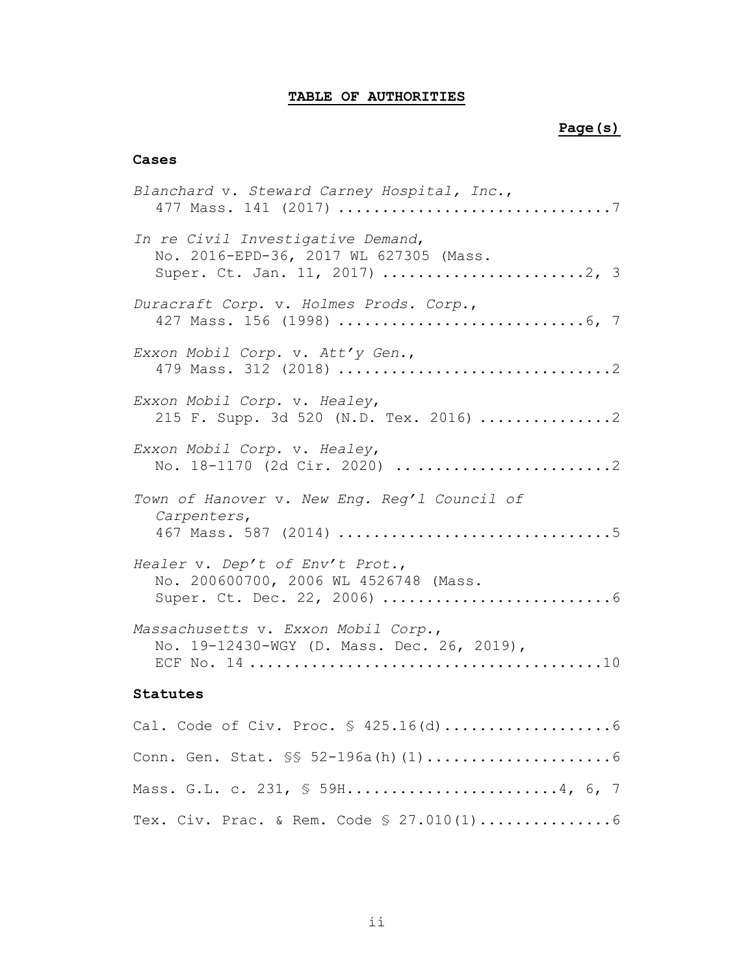## **TABLE OF AUTHORITIES**

### **Page(s)**

### **Cases**

Mass. G.L. c. 231, § 59H.........................[.4,](#page-7-2) [6,](#page-9-4) [7](#page-10-2)

Tex. Civ. Prac. & Rem. Code § 27.010(1)..............[.6](#page-9-5)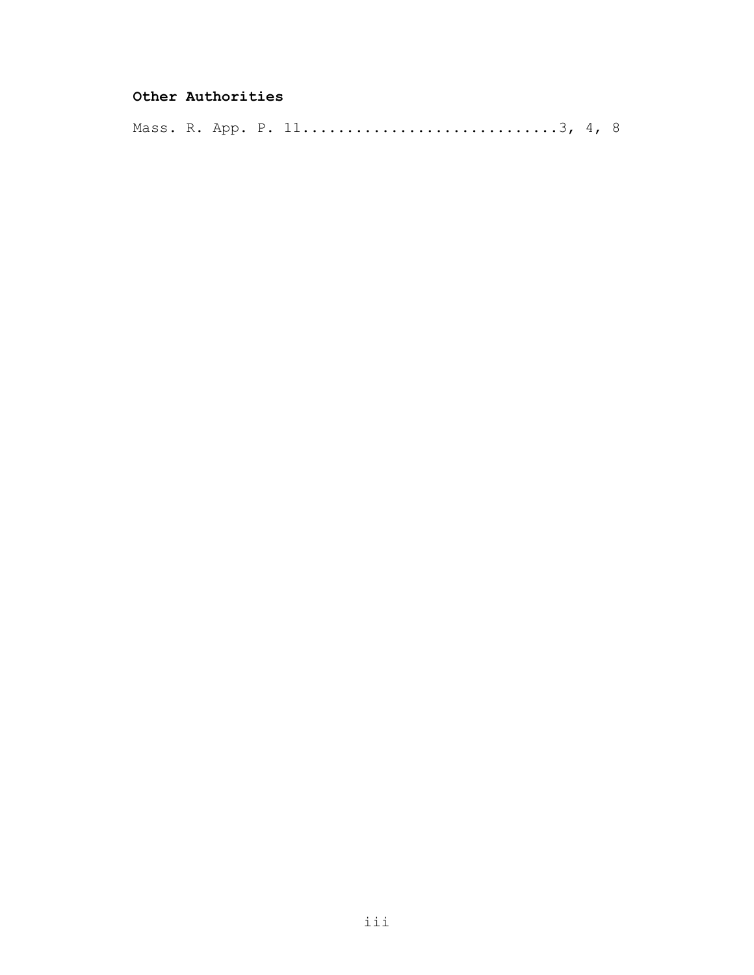## **Other Authorities**

Mass. R. App. P. 11............................[.3,](#page-6-1) [4,](#page-7-3) [8](#page-11-2)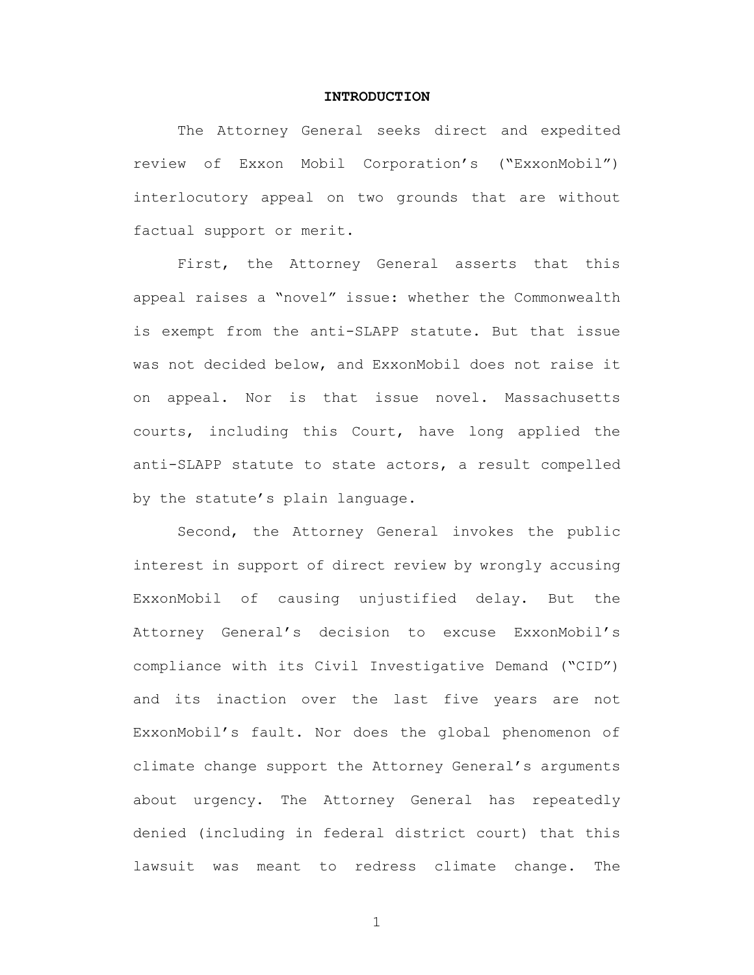#### **INTRODUCTION**

<span id="page-4-0"></span>The Attorney General seeks direct and expedited review of Exxon Mobil Corporation's ("ExxonMobil") interlocutory appeal on two grounds that are without factual support or merit.

First, the Attorney General asserts that this appeal raises a "novel" issue: whether the Commonwealth is exempt from the anti-SLAPP statute. But that issue was not decided below, and ExxonMobil does not raise it on appeal. Nor is that issue novel. Massachusetts courts, including this Court, have long applied the anti-SLAPP statute to state actors, a result compelled by the statute's plain language.

Second, the Attorney General invokes the public interest in support of direct review by wrongly accusing ExxonMobil of causing unjustified delay. But the Attorney General's decision to excuse ExxonMobil's compliance with its Civil Investigative Demand ("CID") and its inaction over the last five years are not ExxonMobil's fault. Nor does the global phenomenon of climate change support the Attorney General's arguments about urgency. The Attorney General has repeatedly denied (including in federal district court) that this lawsuit was meant to redress climate change. The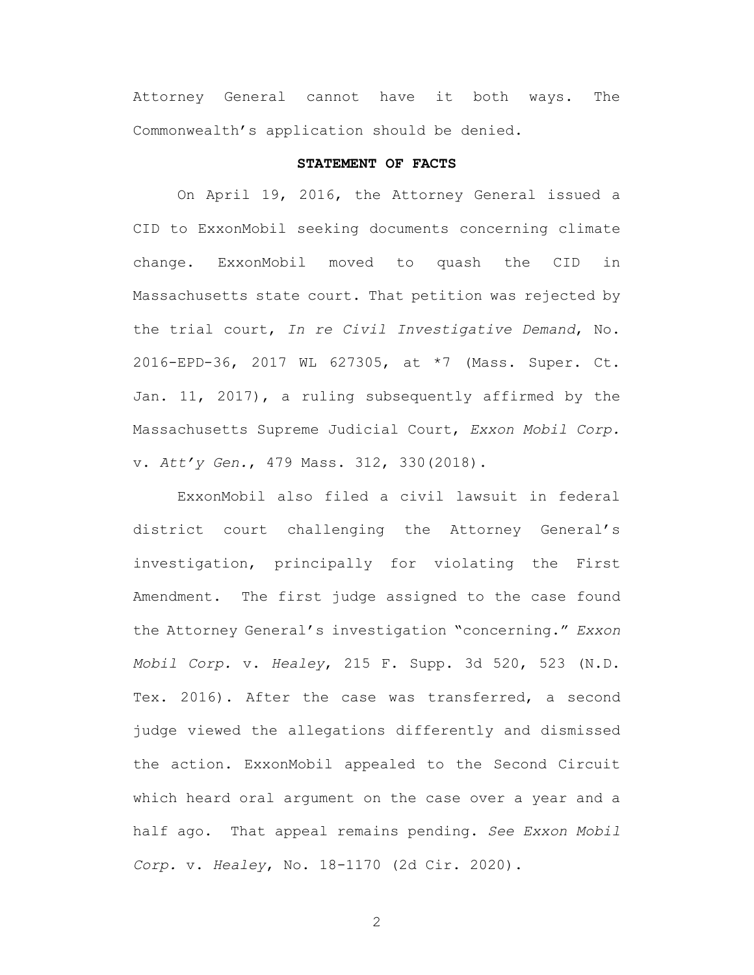Attorney General cannot have it both ways. The Commonwealth's application should be denied.

#### <span id="page-5-2"></span><span id="page-5-1"></span>**STATEMENT OF FACTS**

<span id="page-5-0"></span>On April 19, 2016, the Attorney General issued a CID to ExxonMobil seeking documents concerning climate change. ExxonMobil moved to quash the CID in Massachusetts state court. That petition was rejected by the trial court, *In re Civil Investigative Demand*, No. 2016-EPD-36, 2017 WL 627305, at \*7 (Mass. Super. Ct. Jan. 11, 2017), a ruling subsequently affirmed by the Massachusetts Supreme Judicial Court, *Exxon Mobil Corp.*  v. *Att'y Gen.*, 479 Mass. 312, 330(2018).

<span id="page-5-3"></span>ExxonMobil also filed a civil lawsuit in federal district court challenging the Attorney General's investigation, principally for violating the First Amendment. The first judge assigned to the case found the Attorney General's investigation "concerning." *Exxon Mobil Corp.* v. *Healey*, 215 F. Supp. 3d 520, 523 (N.D. Tex. 2016). After the case was transferred, a second judge viewed the allegations differently and dismissed the action. ExxonMobil appealed to the Second Circuit which heard oral argument on the case over a year and a half ago. That appeal remains pending. *See Exxon Mobil Corp.* v. *Healey*, No. 18-1170 (2d Cir. 2020).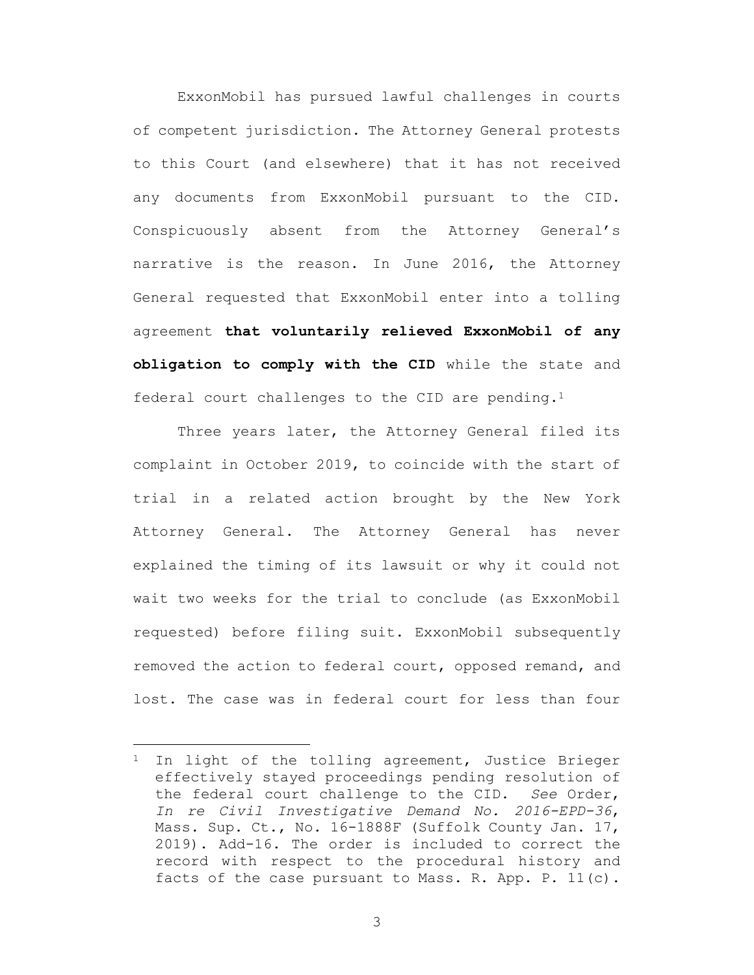ExxonMobil has pursued lawful challenges in courts of competent jurisdiction. The Attorney General protests to this Court (and elsewhere) that it has not received any documents from ExxonMobil pursuant to the CID. Conspicuously absent from the Attorney General's narrative is the reason. In June 2016, the Attorney General requested that ExxonMobil enter into a tolling agreement **that voluntarily relieved ExxonMobil of any obligation to comply with the CID** while the state and federal court challenges to the CID are pending.<sup>1</sup>

Three years later, the Attorney General filed its complaint in October 2019, to coincide with the start of trial in a related action brought by the New York Attorney General. The Attorney General has never explained the timing of its lawsuit or why it could not wait two weeks for the trial to conclude (as ExxonMobil requested) before filing suit. ExxonMobil subsequently removed the action to federal court, opposed remand, and lost. The case was in federal court for less than four

<span id="page-6-1"></span><span id="page-6-0"></span><sup>&</sup>lt;sup>1</sup> In light of the tolling agreement, Justice Brieger effectively stayed proceedings pending resolution of the federal court challenge to the CID. *See* Order, *In re Civil Investigative Demand No. 2016-EPD-36*, Mass. Sup. Ct., No. 16-1888F (Suffolk County Jan. 17, 2019). Add-16. The order is included to correct the record with respect to the procedural history and facts of the case pursuant to Mass. R. App. P. 11(c).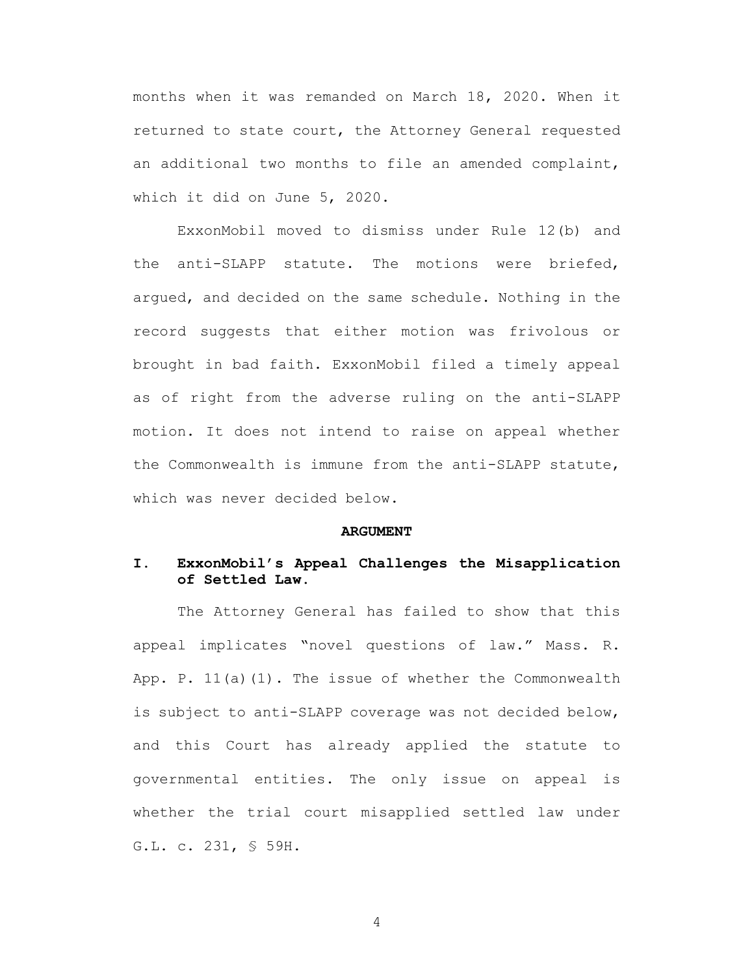months when it was remanded on March 18, 2020. When it returned to state court, the Attorney General requested an additional two months to file an amended complaint, which it did on June 5, 2020.

ExxonMobil moved to dismiss under Rule 12(b) and the anti-SLAPP statute. The motions were briefed, argued, and decided on the same schedule. Nothing in the record suggests that either motion was frivolous or brought in bad faith. ExxonMobil filed a timely appeal as of right from the adverse ruling on the anti-SLAPP motion. It does not intend to raise on appeal whether the Commonwealth is immune from the anti-SLAPP statute, which was never decided below.

#### <span id="page-7-3"></span>**ARGUMENT**

### <span id="page-7-1"></span><span id="page-7-0"></span>**I. ExxonMobil's Appeal Challenges the Misapplication of Settled Law.**

<span id="page-7-2"></span>The Attorney General has failed to show that this appeal implicates "novel questions of law." Mass. R. App. P. 11(a)(1). The issue of whether the Commonwealth is subject to anti-SLAPP coverage was not decided below, and this Court has already applied the statute to governmental entities. The only issue on appeal is whether the trial court misapplied settled law under G.L. c. 231, § 59H.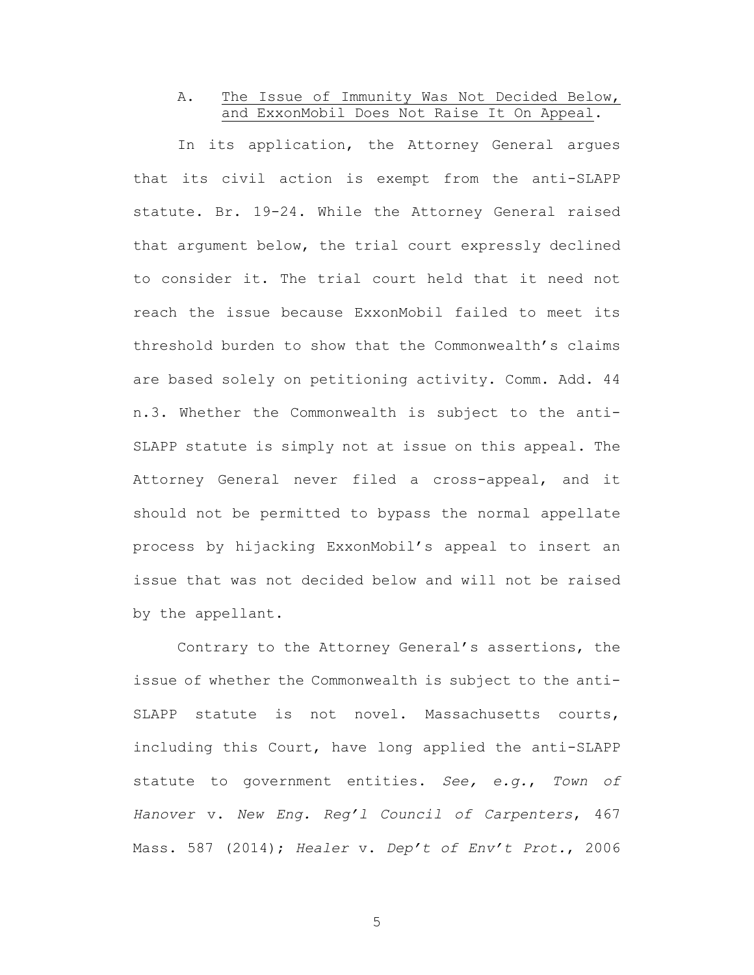## <span id="page-8-0"></span>A. The Issue of Immunity Was Not Decided Below, and ExxonMobil Does Not Raise It On Appeal.

In its application, the Attorney General argues that its civil action is exempt from the anti-SLAPP statute. Br. 19-24. While the Attorney General raised that argument below, the trial court expressly declined to consider it. The trial court held that it need not reach the issue because ExxonMobil failed to meet its threshold burden to show that the Commonwealth's claims are based solely on petitioning activity. Comm. Add. 44 n.3. Whether the Commonwealth is subject to the anti-SLAPP statute is simply not at issue on this appeal. The Attorney General never filed a cross-appeal, and it should not be permitted to bypass the normal appellate process by hijacking ExxonMobil's appeal to insert an issue that was not decided below and will not be raised by the appellant.

<span id="page-8-2"></span><span id="page-8-1"></span>Contrary to the Attorney General's assertions, the issue of whether the Commonwealth is subject to the anti-SLAPP statute is not novel. Massachusetts courts, including this Court, have long applied the anti-SLAPP statute to government entities. *See, e.g.*, *Town of Hanover* v. *New Eng. Reg'l Council of Carpenters*, 467 Mass. 587 (2014); *Healer* v. *Dep't of Env't Prot.*, 2006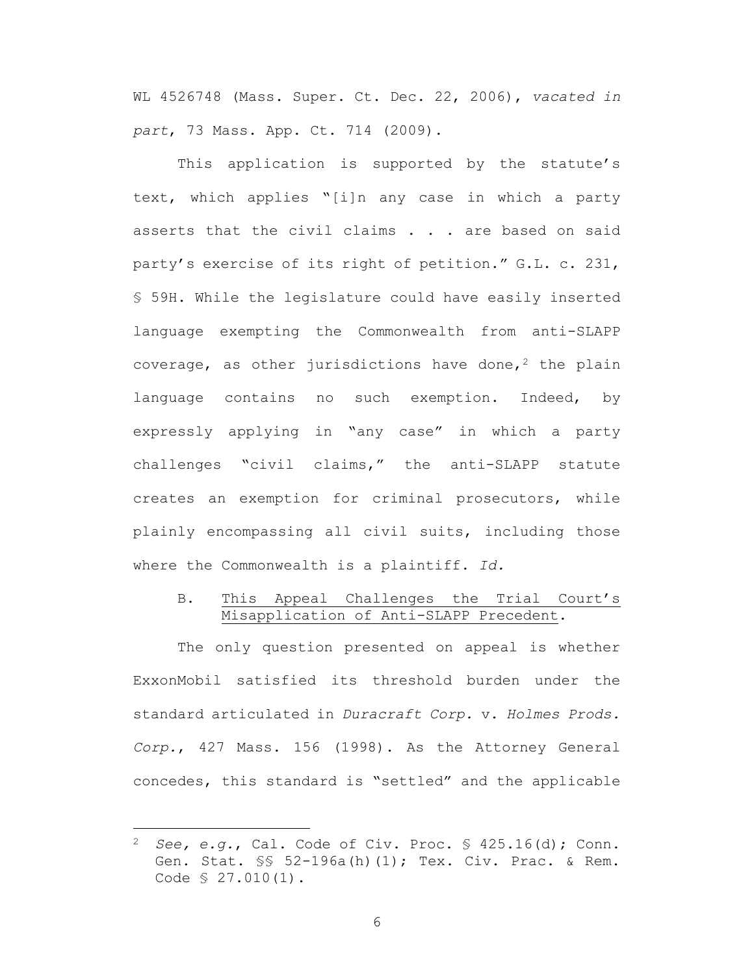WL 4526748 (Mass. Super. Ct. Dec. 22, 2006), *vacated in part*, 73 Mass. App. Ct. 714 (2009).

<span id="page-9-4"></span>This application is supported by the statute's text, which applies "[i]n any case in which a party asserts that the civil claims . . . are based on said party's exercise of its right of petition." G.L. c. 231, § 59H. While the legislature could have easily inserted language exempting the Commonwealth from anti-SLAPP coverage, as other jurisdictions have done,<sup>2</sup> the plain language contains no such exemption. Indeed, by expressly applying in "any case" in which a party challenges "civil claims," the anti-SLAPP statute creates an exemption for criminal prosecutors, while plainly encompassing all civil suits, including those where the Commonwealth is a plaintiff. *Id.*

### <span id="page-9-1"></span><span id="page-9-0"></span>B. This Appeal Challenges the Trial Court's Misapplication of Anti-SLAPP Precedent.

The only question presented on appeal is whether ExxonMobil satisfied its threshold burden under the standard articulated in *Duracraft Corp.* v. *Holmes Prods. Corp.*, 427 Mass. 156 (1998). As the Attorney General concedes, this standard is "settled" and the applicable

<span id="page-9-5"></span><span id="page-9-3"></span><span id="page-9-2"></span><sup>2</sup> *See, e.g.*, Cal. Code of Civ. Proc. § 425.16(d); Conn. Gen. Stat. §§ 52-196a(h)(1); Tex. Civ. Prac. & Rem. Code § 27.010(1).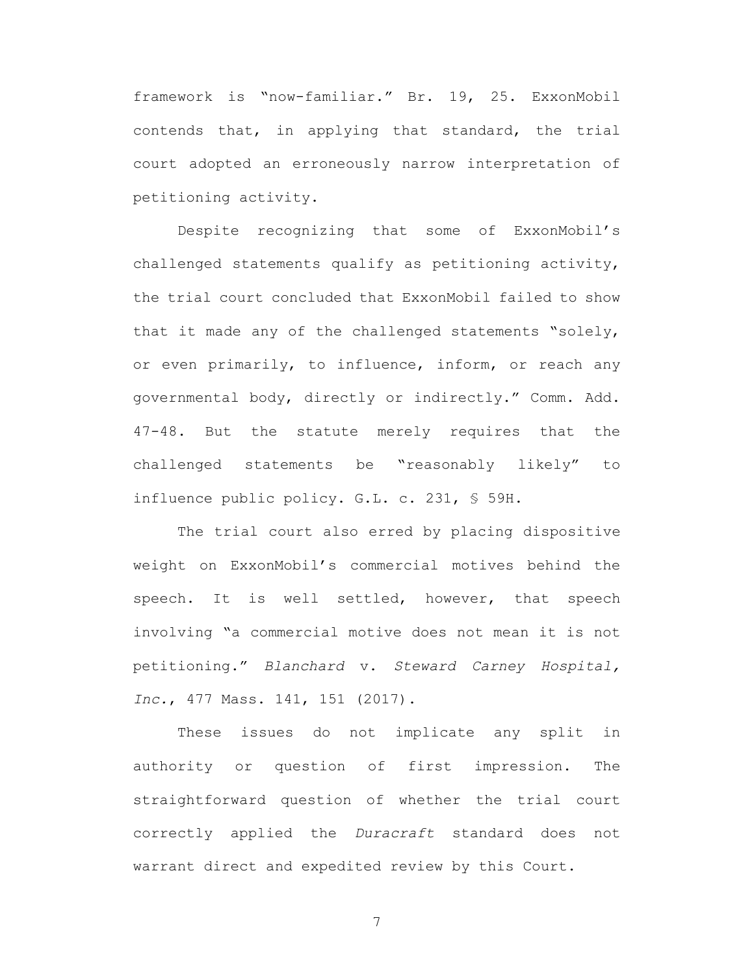framework is "now-familiar." Br. 19, 25. ExxonMobil contends that, in applying that standard, the trial court adopted an erroneously narrow interpretation of petitioning activity.

Despite recognizing that some of ExxonMobil's challenged statements qualify as petitioning activity, the trial court concluded that ExxonMobil failed to show that it made any of the challenged statements "solely, or even primarily, to influence, inform, or reach any governmental body, directly or indirectly." Comm. Add. 47-48. But the statute merely requires that the challenged statements be "reasonably likely" to influence public policy. G.L. c. 231, § 59H.

<span id="page-10-2"></span>The trial court also erred by placing dispositive weight on ExxonMobil's commercial motives behind the speech. It is well settled, however, that speech involving "a commercial motive does not mean it is not petitioning." *Blanchard* v. *Steward Carney Hospital, Inc.*, 477 Mass. 141, 151 (2017).

<span id="page-10-1"></span><span id="page-10-0"></span>These issues do not implicate any split in authority or question of first impression. The straightforward question of whether the trial court correctly applied the *Duracraft* standard does not warrant direct and expedited review by this Court.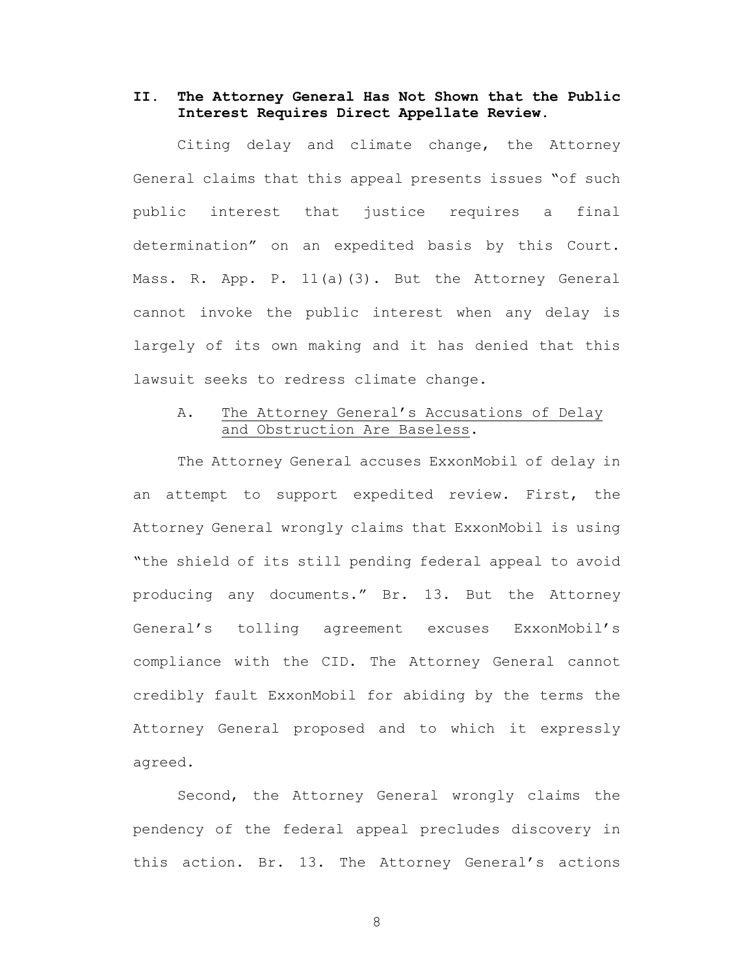## <span id="page-11-0"></span>**II. The Attorney General Has Not Shown that the Public Interest Requires Direct Appellate Review.**

<span id="page-11-2"></span>Citing delay and climate change, the Attorney General claims that this appeal presents issues "of such public interest that justice requires a final determination" on an expedited basis by this Court. Mass. R. App. P. 11(a)(3). But the Attorney General cannot invoke the public interest when any delay is largely of its own making and it has denied that this lawsuit seeks to redress climate change.

## <span id="page-11-1"></span>A. The Attorney General's Accusations of Delay and Obstruction Are Baseless.

The Attorney General accuses ExxonMobil of delay in an attempt to support expedited review. First, the Attorney General wrongly claims that ExxonMobil is using "the shield of its still pending federal appeal to avoid producing any documents." Br. 13. But the Attorney General's tolling agreement excuses ExxonMobil's compliance with the CID. The Attorney General cannot credibly fault ExxonMobil for abiding by the terms the Attorney General proposed and to which it expressly agreed.

Second, the Attorney General wrongly claims the pendency of the federal appeal precludes discovery in this action. Br. 13. The Attorney General's actions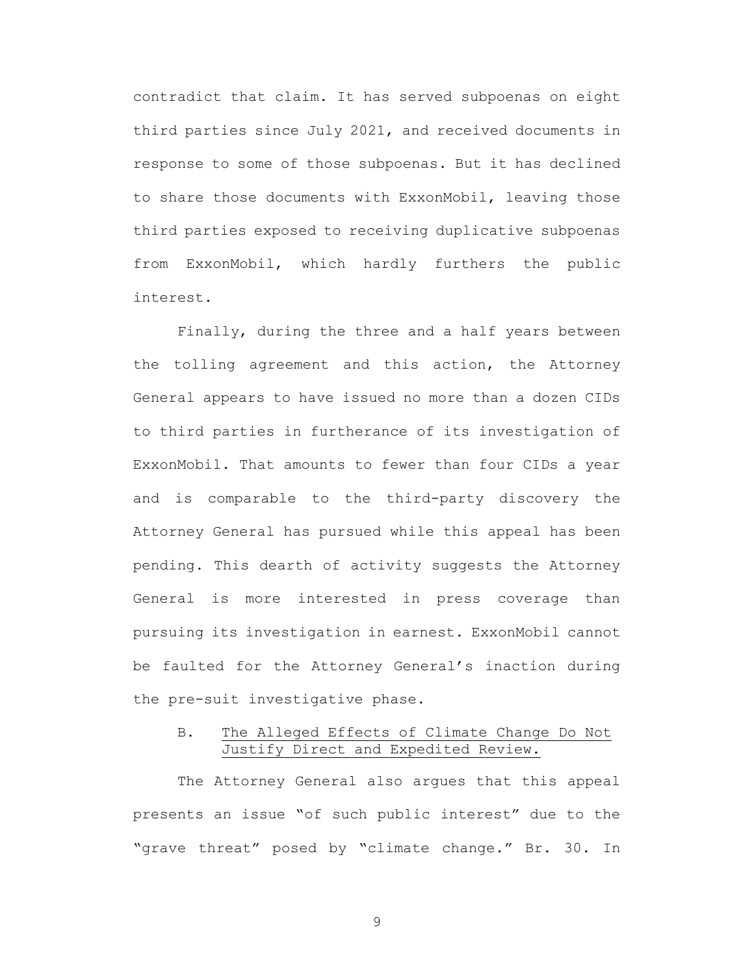contradict that claim. It has served subpoenas on eight third parties since July 2021, and received documents in response to some of those subpoenas. But it has declined to share those documents with ExxonMobil, leaving those third parties exposed to receiving duplicative subpoenas from ExxonMobil, which hardly furthers the public interest.

Finally, during the three and a half years between the tolling agreement and this action, the Attorney General appears to have issued no more than a dozen CIDs to third parties in furtherance of its investigation of ExxonMobil. That amounts to fewer than four CIDs a year and is comparable to the third-party discovery the Attorney General has pursued while this appeal has been pending. This dearth of activity suggests the Attorney General is more interested in press coverage than pursuing its investigation in earnest. ExxonMobil cannot be faulted for the Attorney General's inaction during the pre-suit investigative phase.

## <span id="page-12-0"></span>B. The Alleged Effects of Climate Change Do Not Justify Direct and Expedited Review.

The Attorney General also argues that this appeal presents an issue "of such public interest" due to the "grave threat" posed by "climate change." Br. 30. In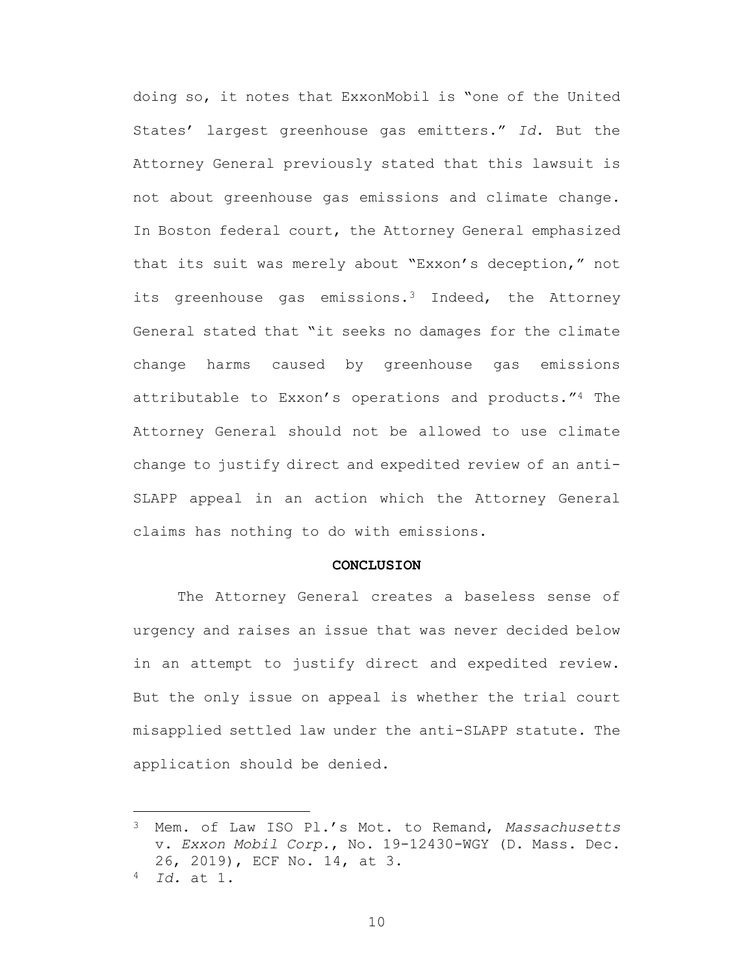doing so, it notes that ExxonMobil is "one of the United States' largest greenhouse gas emitters." *Id.* But the Attorney General previously stated that this lawsuit is not about greenhouse gas emissions and climate change. In Boston federal court, the Attorney General emphasized that its suit was merely about "Exxon's deception," not its greenhouse gas emissions.<sup>3</sup> Indeed, the Attorney General stated that "it seeks no damages for the climate change harms caused by greenhouse gas emissions attributable to Exxon's operations and products."<sup>4</sup> The Attorney General should not be allowed to use climate change to justify direct and expedited review of an anti-SLAPP appeal in an action which the Attorney General claims has nothing to do with emissions.

#### <span id="page-13-1"></span>**CONCLUSION**

<span id="page-13-0"></span>The Attorney General creates a baseless sense of urgency and raises an issue that was never decided below in an attempt to justify direct and expedited review. But the only issue on appeal is whether the trial court misapplied settled law under the anti-SLAPP statute. The application should be denied.

<sup>3</sup> Mem. of Law ISO Pl.'s Mot. to Remand, *Massachusetts*  v. *Exxon Mobil Corp.*, No. 19-12430-WGY (D. Mass. Dec. 26, 2019), ECF No. 14, at 3.

<sup>4</sup> *Id.* at 1.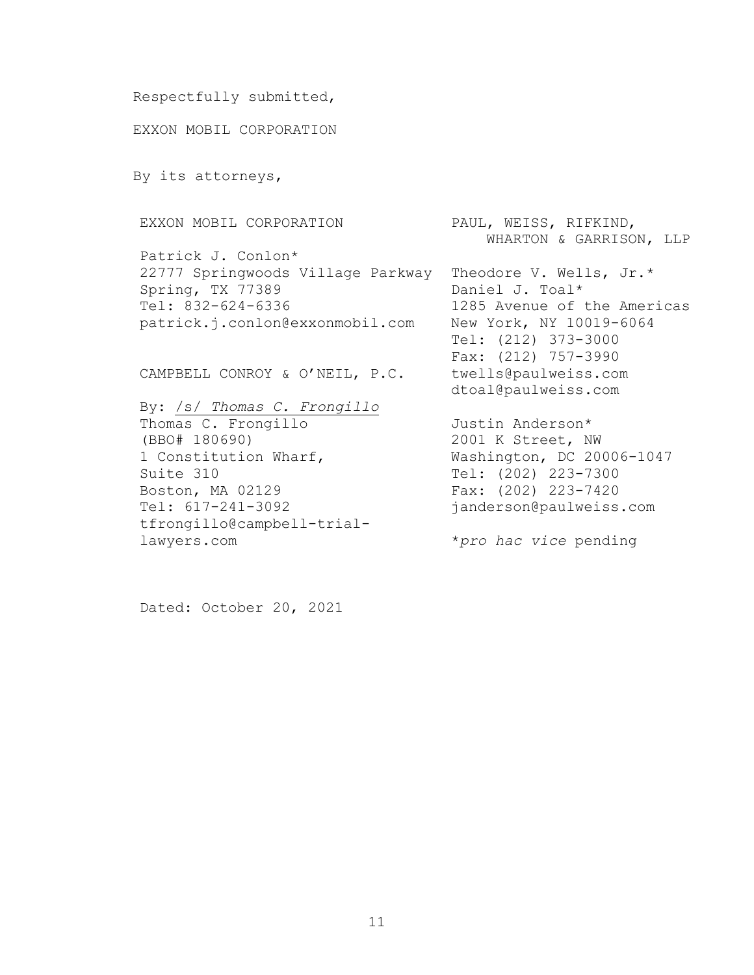```
Respectfully submitted,
EXXON MOBIL CORPORATION
```
By its attorneys,

EXXON MOBIL CORPORATION

Patrick J. Conlon\* 22777 Springwoods Village Parkway Theodore V. Wells, Jr.\* Spring, TX 77389 Tel: 832-624-6336 patrick.j.conlon@exxonmobil.com

CAMPBELL CONROY & O'NEIL, P.C.

By: /s/ *Thomas C. Frongillo* Thomas C. Frongillo (BBO# 180690) 1 Constitution Wharf, Suite 310 Boston, MA 02129 Tel: 617-241-3092 tfrongillo@campbell-triallawyers.com

PAUL, WEISS, RIFKIND, WHARTON & GARRISON, LLP

Daniel J. Toal\* 1285 Avenue of the Americas New York, NY 10019-6064 Tel: (212) 373-3000 Fax: (212) 757-3990 twells@paulweiss.com dtoal@paulweiss.com

Justin Anderson\* 2001 K Street, NW Washington, DC 20006-1047 Tel: (202) 223-7300 Fax: (202) 223-7420 janderson@paulweiss.com

\**pro hac vice* pending

Dated: October 20, 2021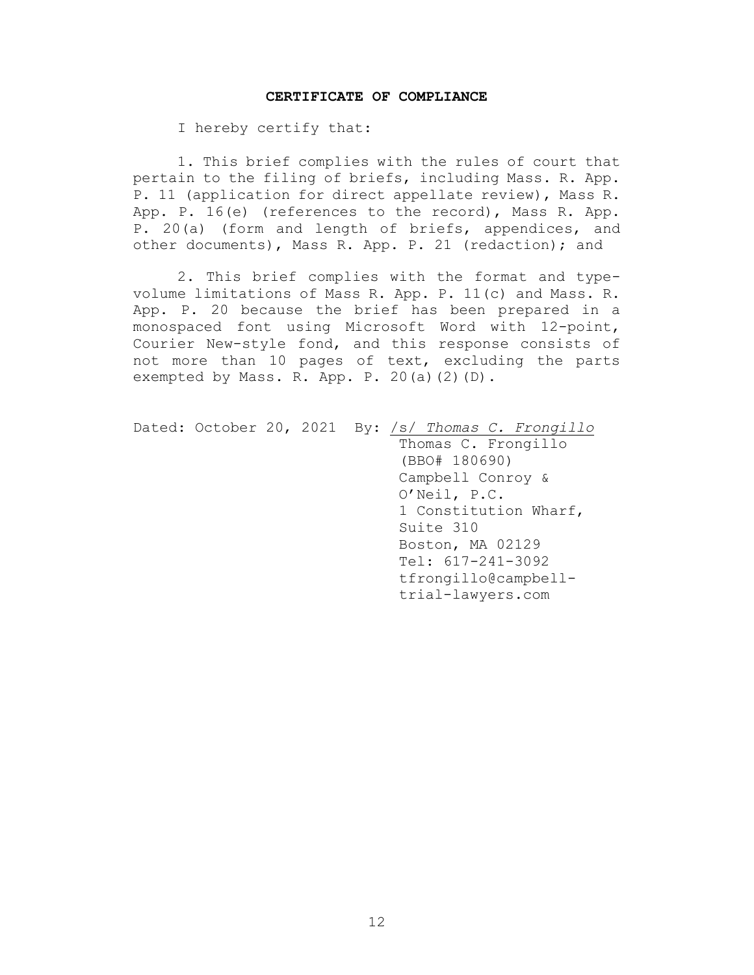#### **CERTIFICATE OF COMPLIANCE**

<span id="page-15-0"></span>I hereby certify that:

1. This brief complies with the rules of court that pertain to the filing of briefs, including Mass. R. App. P. 11 (application for direct appellate review), Mass R. App. P. 16(e) (references to the record), Mass R. App. P. 20(a) (form and length of briefs, appendices, and other documents), Mass R. App. P. 21 (redaction); and

2. This brief complies with the format and typevolume limitations of Mass R. App. P. 11(c) and Mass. R. App. P. 20 because the brief has been prepared in a monospaced font using Microsoft Word with 12-point, Courier New-style fond, and this response consists of not more than 10 pages of text, excluding the parts exempted by Mass. R. App. P. 20(a)(2)(D).

Dated: October 20, 2021 By: /s/ *Thomas C. Frongillo* Thomas C. Frongillo (BBO# 180690) Campbell Conroy & O'Neil, P.C. 1 Constitution Wharf, Suite 310 Boston, MA 02129 Tel: 617-241-3092 tfrongillo@campbelltrial-lawyers.com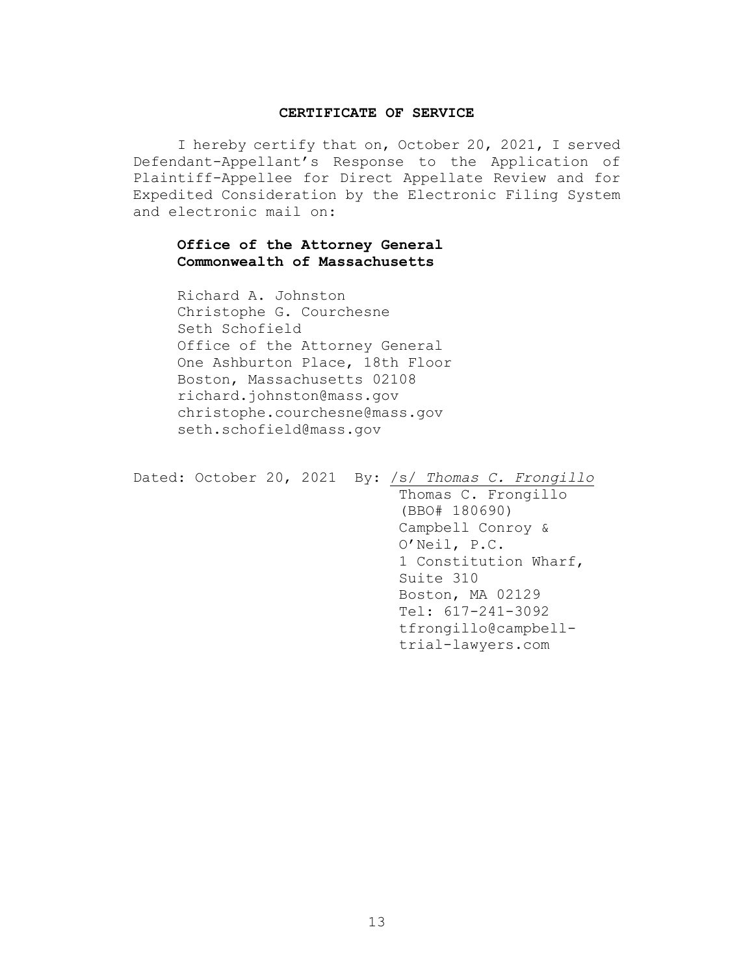#### **CERTIFICATE OF SERVICE**

<span id="page-16-0"></span>I hereby certify that on, October 20, 2021, I served Defendant-Appellant's Response to the Application of Plaintiff-Appellee for Direct Appellate Review and for Expedited Consideration by the Electronic Filing System and electronic mail on:

## **Office of the Attorney General Commonwealth of Massachusetts**

Richard A. Johnston Christophe G. Courchesne Seth Schofield Office of the Attorney General One Ashburton Place, 18th Floor Boston, Massachusetts 02108 richard.johnston@mass.gov christophe.courchesne@mass.gov seth.schofield@mass.gov

```
Dated: October 20, 2021 By: /s/ Thomas C. Frongillo
                               Thomas C. Frongillo
                               (BBO# 180690)
                               Campbell Conroy & 
                               O'Neil, P.C. 
                               1 Constitution Wharf, 
                               Suite 310
                              Boston, MA 02129
                               Tel: 617-241-3092
                              tfrongillo@campbell-
                               trial-lawyers.com
```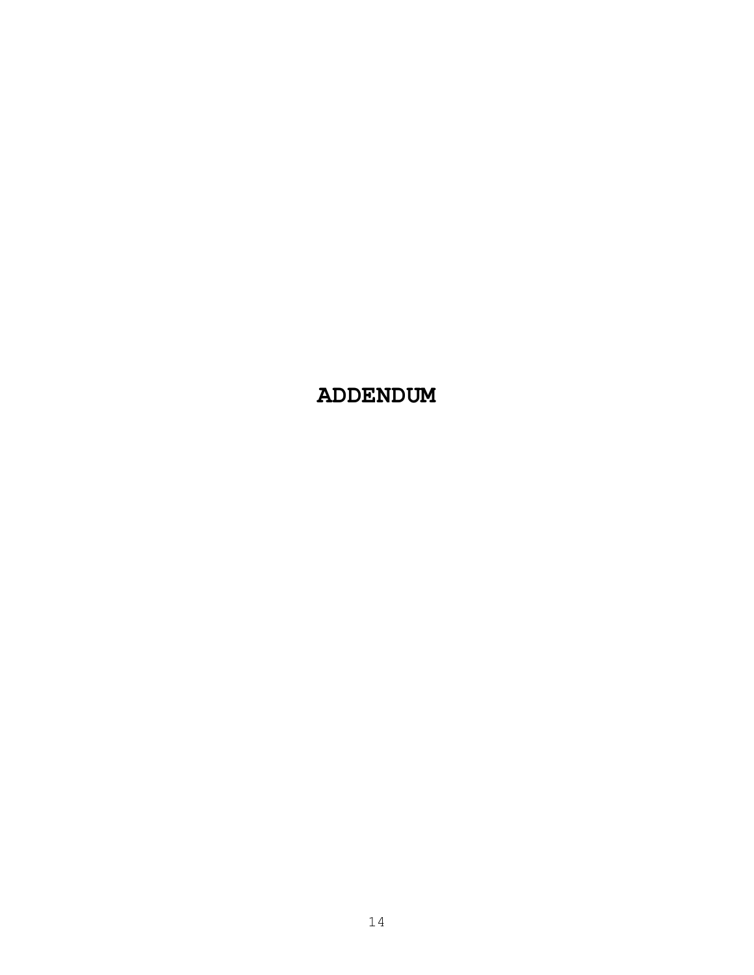**ADDENDUM**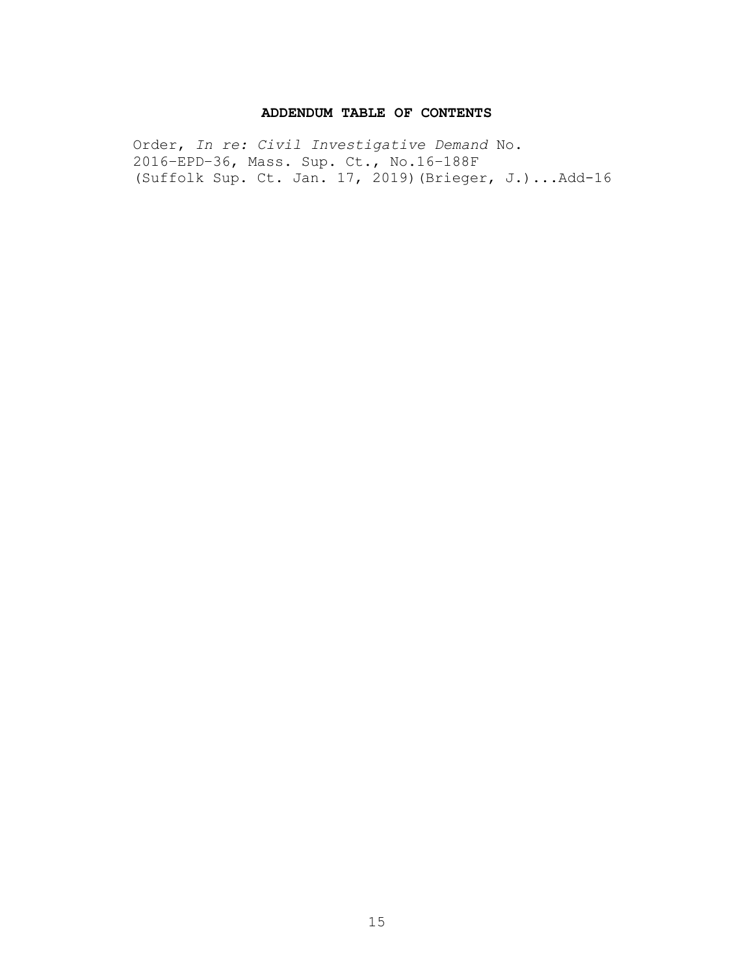### **ADDENDUM TABLE OF CONTENTS**

Order, *In re: Civil Investigative Demand* No. 2016–EPD–36, Mass. Sup. Ct., No.16–188F (Suffolk Sup. Ct. Jan. 17, 2019)(Brieger, J.)...Add-16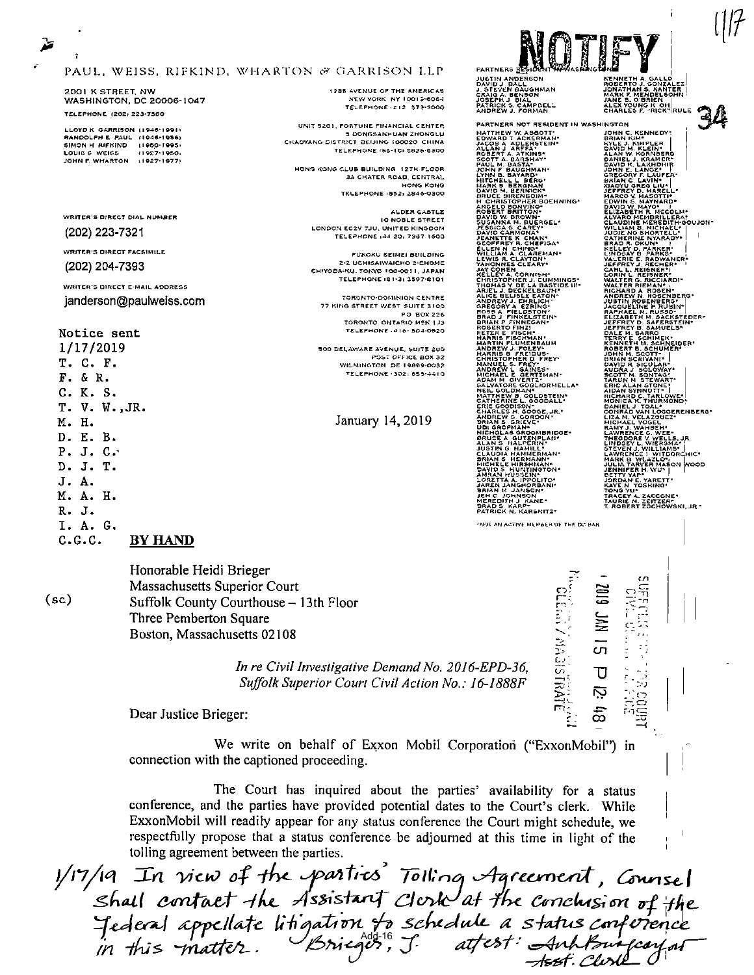| $\bullet$<br>î                                                                                                                                                                |                                                                                                                  | PAUL, WEISS, RIFKIND, WHARTON & GARRISON LLP                                                                                                                                                                                                                                                                               | <b>PARTNERS RESIDE</b><br>JUSTIN ANDERSON<br>DAVID J. BALL<br>J. STEVEN BAUGHMAN                                                                                                                                                                                                                                                                                                                                                                                                                                                                                                                                                                                                                                                                                                                                                                                                                                                                                                                                                                                   | KENNETH A. GALLO<br>ROBERTO J. GONZALEZ<br>JONATHAN S. KANTER                                                                                                                                                                                                                                                                                                                                                                                                                                                                                                                                                                                                                                                                                                                                                                                                                                                                                                                                                                                  |
|-------------------------------------------------------------------------------------------------------------------------------------------------------------------------------|------------------------------------------------------------------------------------------------------------------|----------------------------------------------------------------------------------------------------------------------------------------------------------------------------------------------------------------------------------------------------------------------------------------------------------------------------|--------------------------------------------------------------------------------------------------------------------------------------------------------------------------------------------------------------------------------------------------------------------------------------------------------------------------------------------------------------------------------------------------------------------------------------------------------------------------------------------------------------------------------------------------------------------------------------------------------------------------------------------------------------------------------------------------------------------------------------------------------------------------------------------------------------------------------------------------------------------------------------------------------------------------------------------------------------------------------------------------------------------------------------------------------------------|------------------------------------------------------------------------------------------------------------------------------------------------------------------------------------------------------------------------------------------------------------------------------------------------------------------------------------------------------------------------------------------------------------------------------------------------------------------------------------------------------------------------------------------------------------------------------------------------------------------------------------------------------------------------------------------------------------------------------------------------------------------------------------------------------------------------------------------------------------------------------------------------------------------------------------------------------------------------------------------------------------------------------------------------|
| 2001 K STREET, NW                                                                                                                                                             | <b>WASHINGTON, DC 20006-1047</b>                                                                                 | 1285 AVENUE OF THE AMERICAS<br>NEW YORK NY 10012-6064<br><b>TELEPHONE 212 373-3000</b>                                                                                                                                                                                                                                     | CRAIG A. BENSON<br>JOSEPH J BILL"<br>PATRICK S. CAMPBELL<br>ANDREW J. FORMAN                                                                                                                                                                                                                                                                                                                                                                                                                                                                                                                                                                                                                                                                                                                                                                                                                                                                                                                                                                                       | MARK F. MENDELSOHN<br>JANE B. O'BRIEN<br>ALEX YOUNG KOH<br>CHARLES F. "RICK" RULE                                                                                                                                                                                                                                                                                                                                                                                                                                                                                                                                                                                                                                                                                                                                                                                                                                                                                                                                                              |
| <b>TELEPHONE (202) 223-7300</b><br><b>SIMON H RIFKIND</b><br>LOUIS 6 WEISS<br>JOHN F. WHARTON<br>WRITER'S DIRECT DIAL NUMBER                                                  | LLOYD K GARRISON (1946-1991)<br>RANDOLPH E. PAUL (1946-1956)<br>11050-1005<br>11927-1950)<br>$(1927 - 1977)$     | UNIT 5201, FORTUNE FINANCIAL CENTER<br><b>5 DONGSANHUAN ZHONGLU</b><br>CHADYANG DISTRICT BEIJING 100020 CHINA<br>TELEPHONE (SC IC) 5825-6300<br>HONG KONG CLUB BUILDING 12TH FLOOR<br><b>3A CHATER ROAD, CENTRAL</b><br><b>HONG KONG</b><br>TELEPHONE (852) 2846-0300<br>ALDER CASTLE<br><b>IO NOBLE STREET</b>            | PARTNERS NOT RESIDENT IN WASHINGTON<br>MATTHEW W. ABBOTT*<br><b>EDWARD T ACKERMANNING ALLAN JACOB A ADLERATEIN</b><br>ALLAN J AREFA<br>ROBERT A ATKING <sup>®</sup><br>SCOTT A BARSHAY*<br>PAUL M. BASTA-<br>JOHN F BAUGHMAN<br>LYNN B. BAYARD*<br>MITCHELL L BERGY<br>MARK S BERGHAN<br>DAVID M. BERNICK*<br><b>BRUCE BIRENBOIM-</b><br>H CHRISTOPHER BOEHNING*<br>ANGELO BONYINO*<br>ROBERT BRITTON*<br>DAVID W. BROWN*<br>SUSANNA M. BUERGEL*                                                                                                                                                                                                                                                                                                                                                                                                                                                                                                                                                                                                                   | JOHN C. KENNEDY:<br>JOHN C. KENNEDY<br>SRIAN KIMP<br>DAVID M. KLEIN<br>DAVID M. KLEIN<br>DAVID M. KARNER<br>DAVID K. LAKYDNIR<br>DAVID K. LAKYDNIR<br>JAMRC C. LAKYDNIR<br>JAMRC V. HARCO V. MARCO V. MARCO V. MARCO V. MARCO V. MARCO V.<br><b>MARCO V. MASOTTI*</b><br>EDWIN S. MAYNARD*<br>DAVID W. MAYO*<br>ELIZABETH R. MCCOLM*<br>ALVARO MEMBRILLERA*<br>CLAUDINE MEREDITH*00UJON*                                                                                                                                                                                                                                                                                                                                                                                                                                                                                                                                                                                                                                                       |
| (202) 223-7321                                                                                                                                                                |                                                                                                                  | LONDON EC2Y 7JU, UNITED KINGDOM<br>TELEPHONE (44-20) 7367-1600                                                                                                                                                                                                                                                             | JESSICA S. CAREY<br>JEANETTE K CHAN*<br>GEOFFREY R. CHEPIGA*<br>ELLEN N CHING*<br>WILLIAM A. CLAREMAN*                                                                                                                                                                                                                                                                                                                                                                                                                                                                                                                                                                                                                                                                                                                                                                                                                                                                                                                                                             | WILLIAM B. MICHAE                                                                                                                                                                                                                                                                                                                                                                                                                                                                                                                                                                                                                                                                                                                                                                                                                                                                                                                                                                                                                              |
| <b>WRITER'S DIRECT FACSIMILE</b><br>(202) 204-7393                                                                                                                            |                                                                                                                  | FUKOKU SEIMEI BUILDING<br>2-2 UCHISAIWAICHO 2-CHOME<br>CHIYODA-KU, TOKYO 100-0011, JAPAN                                                                                                                                                                                                                                   | LEWIS R. CLAYTON.                                                                                                                                                                                                                                                                                                                                                                                                                                                                                                                                                                                                                                                                                                                                                                                                                                                                                                                                                                                                                                                  | WILLIAM B. MICHAELL*<br>CATHERINE NYARADY*<br>BRADR. OKUN*<br>KELLEY D. PARKER*<br>VALERIE E. RADWANER*<br>VALERIE E. RADWANER*<br>CARLERIE E. RADWANER*<br>CARLERIE 2. RADWANER*<br>CARL L. REISNER <sup>T</sup>                                                                                                                                                                                                                                                                                                                                                                                                                                                                                                                                                                                                                                                                                                                                                                                                                              |
| Notice sent<br>1/17/2019<br>T. C. F.<br>F. 6 R.<br>C. K. S.<br>T. V. W., JR.<br>M. H.<br>D. E. B.<br>P. J. C.<br>D. J. T.<br>J. A.<br>M. A. H.<br>R. J.<br>I. A. G.<br>c.c.c. | WRITER'S DIRECT E-MAIL ADDRESS<br>janderson@paulweiss.com<br><b>BY HAND</b>                                      | TELEPHONE (81-3) 3597-8101<br><b>TORONTO-DOMINION CENTRE</b><br>77 KING STREET WEST SUITE 3100<br><b>PO BOX 226</b><br>TORONTO, ONTARIO MEN 1J3<br><b>TELEPHONE 416 504-0520</b><br>500 DELAWARE AVENUE, SUITE 200<br>POST OFFICE BOX 32<br>WILMINGTON DE 19899-0032<br><b>TELEPHONE 302: 655-4410</b><br>January 14, 2019 | TANONNES CLEART<br>CHRISTOPHER J. CUMMINGS-<br>CHRISTOPHER J. CUMMINGS-<br>THOMAS Y. DECKELBAUNI<br>ALICE B. ELICERE EATON-<br>ALICE B. ELISTE EATON-<br>ALICE B. ELISTE EATON-<br>ANDREW J. EHBLICH*<br><b>BRIAN P FINNEGAN-</b><br>ROBERTO FINZI<br>ROBERTO FINZI<br>HARRIS FISCH<br>ANDREW J. FOLEY-<br>ANDREW J. FOLEY-<br>CHRISTOPHER D. FREY-<br>CHRISTOPHER D. FREY-<br>CHRISTOPHER D. FREY-<br>ANDREW L. GAINES-<br>ANDREW L. GAINES-<br>ANDREW L. GAINES-<br>ANDREW L. GAINES-<br>ANDREW L. GAINES-<br>SALVATORE GOGLIORMELLA*<br>NEIL GOLDMAN"<br>NATTHEW B. GOLDSTEIN*<br>ERIC GOODSON-<br>CHARLES H. GOOGE, JR. ANDREW G. GORDON<br>BRIAN S. GREECHAN-<br>DRIAN S. GREECHAN-<br>NICHOLAS GROOMBRIDGE*<br>NICHAL GUIZANNEN<br>JUSTIN G HALPERIN'<br>JUSTIN G HAMILL'<br>CLAUDIA HAMILL'<br>SRIAN S HERMANN'<br>MICHELE HIRSHMAN'<br>DAVID STHÜNTINGTON*<br>AM <u>RAN H</u> USSEIN*<br>LORETTA A. IPPOLITO!<br>JAREN JANGHORBANI!<br>BRIAN M. JANSON*<br>JEH C JOHNSON<br>MEREDITH J KANE<br>PATRICK N. KARSNITZ*<br>*NOT AN ACTIVE MEMBER OF THE DC BAR | WALTER G. RICCIARDI<br>WALTER RIEMAN"<br>RICHARD A ROSEN-<br>ANDREW N. ROSENBERG*<br>JUSTIN ROSENBERG*<br>JACQUELINE P. RUBIN*<br>RAPHAEL M. RUSSO"<br>ELIZABETH M. SACKSTEDER-<br>JEFFREY D. SAFERSTEIN-<br>JEFFREY B. SAMUELS-<br>JEFFREY B. SAMUELS*<br>TERRY E. SCHIMEK*<br>TERRY E. SCHIMEK*<br>ROBERT B. SCHIMER*<br>JOHN M. SCOTT*<br>DRIAM SCRIVANI*<br>BRIAM SCRIVANI*<br>HUDBA I. SCHOWAV*<br>AUDRA J SOLOWAY*<br>SCOTT M. SONTAG*<br>TARUN M. STEWART*<br>TARUM M STEWART<br>ERIC ALAN STRONET<br>HICHARD C. TARLOWE-<br>HICHARD C. TARLOWE-<br>HICHARD C. TARLOWE-<br>CONRAD VAN LOGGERENBERG<br>CONRAD VAN LOGGERENBERG<br>HIGHAD VANIEL<br>HARD CONRAD CONTET<br>LAWBENCE G. SYFF-<br>RAMFIL WAHBEH"<br>THEODORE V. WELLS. JR.<br>LINDSEY L. WIELS. JR.<br>LINDSEY L. WIELSMA*<br>LAWRENCE ! WITDORCHIC*<br>MARK B. WLAZLON<br>JULIA FARVER MASON WOOD<br>JULIA FARVER MASON WOOD<br>JENNIFER H. WUY<br>JORDAN E. YARETT<br>KAYE N. YOSHINO*<br>TONG YU*<br>TRACEY A. ZACCONE<br>TAURIE M. ZEITZER-<br>T. ROBERT ZOCHOWSKI, JR * |
| $(\mathrm{sc})$                                                                                                                                                               | Honorable Heidi Brieger<br>Massachusetts Superior Court<br>Three Pemberton Square<br>Boston, Massachusetts 02108 | Suffolk County Courthouse - 13th Floor                                                                                                                                                                                                                                                                                     | <b>ANAISISANE</b>                                                                                                                                                                                                                                                                                                                                                                                                                                                                                                                                                                                                                                                                                                                                                                                                                                                                                                                                                                                                                                                  | 6 I D<br><b>UAI</b><br>Сŋ                                                                                                                                                                                                                                                                                                                                                                                                                                                                                                                                                                                                                                                                                                                                                                                                                                                                                                                                                                                                                      |
|                                                                                                                                                                               |                                                                                                                  | In re Civil Investigative Demand No. 2016-EPD-36,<br><b>Suffolk Superior Court Civil Action No.: 16-1888F</b>                                                                                                                                                                                                              |                                                                                                                                                                                                                                                                                                                                                                                                                                                                                                                                                                                                                                                                                                                                                                                                                                                                                                                                                                                                                                                                    | Ķ                                                                                                                                                                                                                                                                                                                                                                                                                                                                                                                                                                                                                                                                                                                                                                                                                                                                                                                                                                                                                                              |
|                                                                                                                                                                               | Dear Justice Brieger:                                                                                            |                                                                                                                                                                                                                                                                                                                            |                                                                                                                                                                                                                                                                                                                                                                                                                                                                                                                                                                                                                                                                                                                                                                                                                                                                                                                                                                                                                                                                    | $\frac{1}{6}$                                                                                                                                                                                                                                                                                                                                                                                                                                                                                                                                                                                                                                                                                                                                                                                                                                                                                                                                                                                                                                  |

We write on behalf of Exxon Mobil Corporation ("ExxonMobil") in connection with the captioned proceeding.

The Court has inquired about the parties' availability for a status conference, and the parties have provided potential dates to the Court's clerk. While ExxonMobil will readily appear for any status conference the Court might schedule, we respectfully propose that a status conference be adjourned at this time in light of the tolling agreement between the parties.

1/17/19 In view of the parties' Tolling Agreement, Counsel<br>Shall contact the Assistant Clerk at the conclusion of the<br>Jederal appellate litigation to schedule a status conference<br>in this matter. Briegos, J. attest: Anh Pun